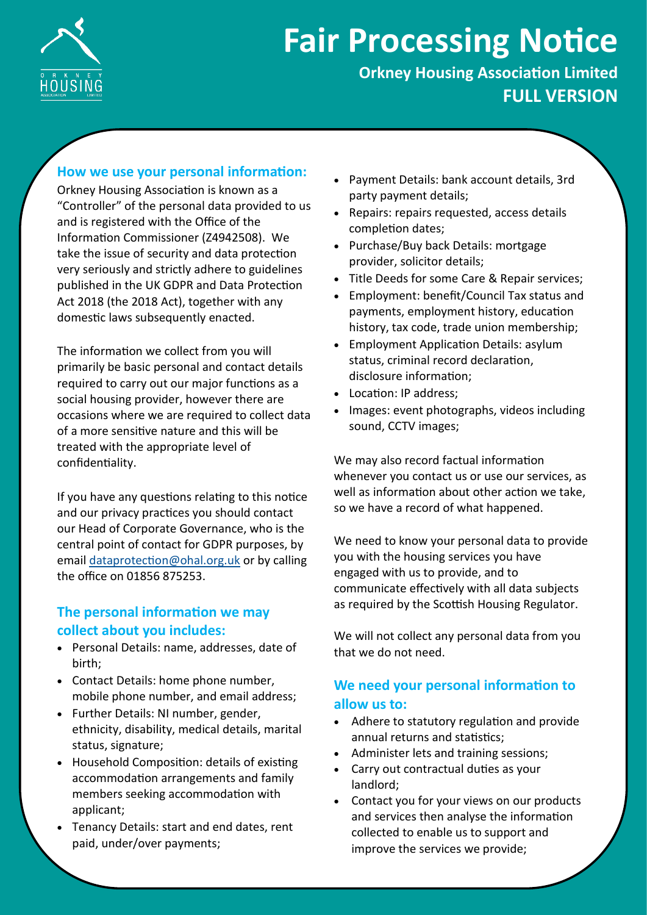

# **Fair Processing Notice**

**Orkney Housing Association Limited FULL VERSION**

#### **How we use your personal information:**

Orkney Housing Association is known as a "Controller" of the personal data provided to us and is registered with the Office of the Information Commissioner (Z4942508). We take the issue of security and data protection very seriously and strictly adhere to guidelines published in the UK GDPR and Data Protection Act 2018 (the 2018 Act), together with any domestic laws subsequently enacted.

The information we collect from you will primarily be basic personal and contact details required to carry out our major functions as a social housing provider, however there are occasions where we are required to collect data of a more sensitive nature and this will be treated with the appropriate level of confidentiality.

If you have any questions relating to this notice and our privacy practices you should contact our Head of Corporate Governance, who is the central point of contact for GDPR purposes, by email [dataprotection@ohal.org.uk](mailto:dataprotection@ohal.org.uk) or by calling the office on 01856 875253.

# **The personal information we may collect about you includes:**

- Personal Details: name, addresses, date of birth;
- Contact Details: home phone number, mobile phone number, and email address;
- Further Details: NI number, gender, ethnicity, disability, medical details, marital status, signature;
- Household Composition: details of existing accommodation arrangements and family members seeking accommodation with applicant;
- Tenancy Details: start and end dates, rent paid, under/over payments;
- Payment Details: bank account details, 3rd party payment details;
- Repairs: repairs requested, access details completion dates;
- Purchase/Buy back Details: mortgage provider, solicitor details;
- Title Deeds for some Care & Repair services;
- Employment: benefit/Council Tax status and payments, employment history, education history, tax code, trade union membership;
- Employment Application Details: asylum status, criminal record declaration, disclosure information;
- Location: IP address;
- Images: event photographs, videos including sound, CCTV images;

We may also record factual information whenever you contact us or use our services, as well as information about other action we take, so we have a record of what happened.

We need to know your personal data to provide you with the housing services you have engaged with us to provide, and to communicate effectively with all data subjects as required by the Scottish Housing Regulator.

We will not collect any personal data from you that we do not need.

## **We need your personal information to allow us to:**

- Adhere to statutory regulation and provide annual returns and statistics;
- Administer lets and training sessions;
- Carry out contractual duties as your landlord;
- Contact you for your views on our products and services then analyse the information collected to enable us to support and improve the services we provide;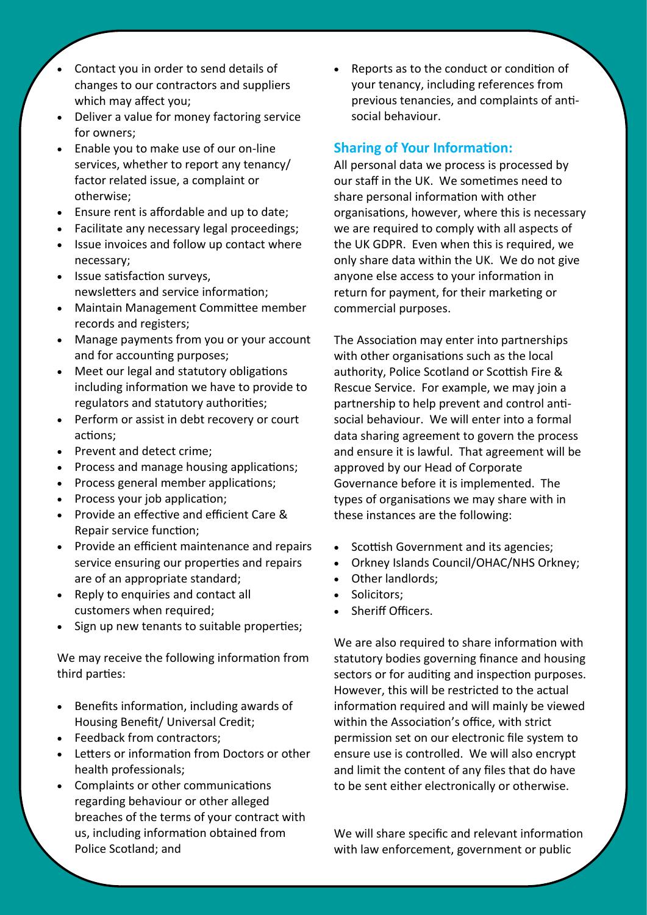- Contact you in order to send details of changes to our contractors and suppliers which may affect you;
- Deliver a value for money factoring service for owners;
- Enable you to make use of our on-line services, whether to report any tenancy/ factor related issue, a complaint or otherwise;
- Ensure rent is affordable and up to date;
- Facilitate any necessary legal proceedings;
- Issue invoices and follow up contact where necessary;
- Issue satisfaction surveys, newsletters and service information;
- Maintain Management Committee member records and registers;
- Manage payments from you or your account and for accounting purposes;
- Meet our legal and statutory obligations including information we have to provide to regulators and statutory authorities;
- Perform or assist in debt recovery or court actions;
- Prevent and detect crime;
- Process and manage housing applications;
- Process general member applications;
- Process your job application;
- Provide an effective and efficient Care & Repair service function;
- Provide an efficient maintenance and repairs service ensuring our properties and repairs are of an appropriate standard;
- Reply to enquiries and contact all customers when required;
- Sign up new tenants to suitable properties;

We may receive the following information from third parties:

- Benefits information, including awards of Housing Benefit/ Universal Credit;
- Feedback from contractors;
- Letters or information from Doctors or other health professionals;
- Complaints or other communications regarding behaviour or other alleged breaches of the terms of your contract with us, including information obtained from Police Scotland; and

• Reports as to the conduct or condition of your tenancy, including references from previous tenancies, and complaints of antisocial behaviour.

## **Sharing of Your Information:**

All personal data we process is processed by our staff in the UK. We sometimes need to share personal information with other organisations, however, where this is necessary we are required to comply with all aspects of the UK GDPR. Even when this is required, we only share data within the UK. We do not give anyone else access to your information in return for payment, for their marketing or commercial purposes.

The Association may enter into partnerships with other organisations such as the local authority, Police Scotland or Scottish Fire & Rescue Service. For example, we may join a partnership to help prevent and control antisocial behaviour. We will enter into a formal data sharing agreement to govern the process and ensure it is lawful. That agreement will be approved by our Head of Corporate Governance before it is implemented. The types of organisations we may share with in these instances are the following:

- Scottish Government and its agencies;
- Orkney Islands Council/OHAC/NHS Orkney;
- Other landlords;
- Solicitors;
- Sheriff Officers.

We are also required to share information with statutory bodies governing finance and housing sectors or for auditing and inspection purposes. However, this will be restricted to the actual information required and will mainly be viewed within the Association's office, with strict permission set on our electronic file system to ensure use is controlled. We will also encrypt and limit the content of any files that do have to be sent either electronically or otherwise.

We will share specific and relevant information with law enforcement, government or public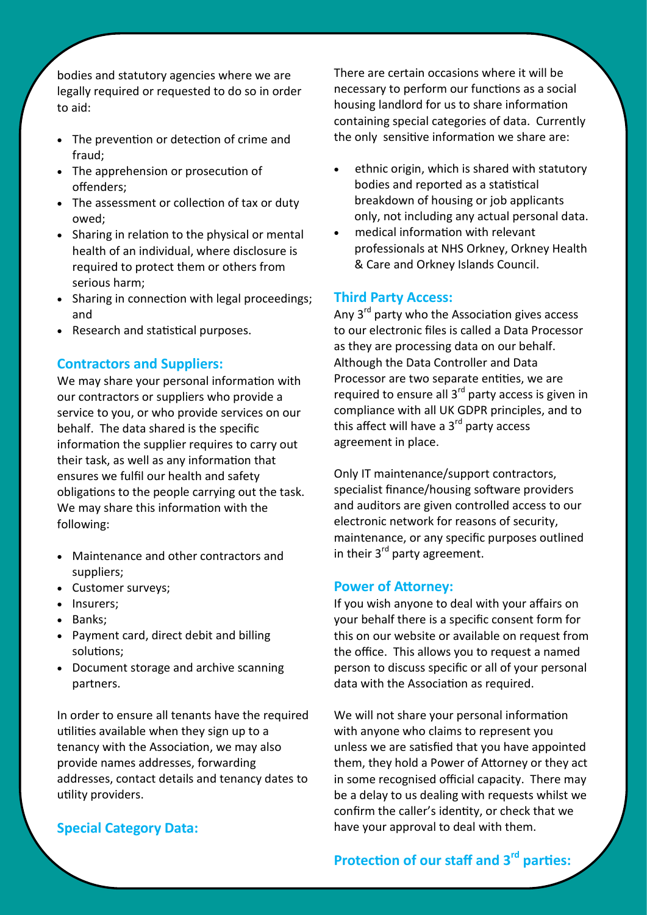bodies and statutory agencies where we are legally required or requested to do so in order to aid:

- The prevention or detection of crime and fraud;
- The apprehension or prosecution of offenders;
- The assessment or collection of tax or duty owed;
- Sharing in relation to the physical or mental health of an individual, where disclosure is required to protect them or others from serious harm;
- Sharing in connection with legal proceedings; and
- Research and statistical purposes.

#### **Contractors and Suppliers:**

We may share your personal information with our contractors or suppliers who provide a service to you, or who provide services on our behalf. The data shared is the specific information the supplier requires to carry out their task, as well as any information that ensures we fulfil our health and safety obligations to the people carrying out the task. We may share this information with the following:

- Maintenance and other contractors and suppliers;
- Customer surveys;
- Insurers;
- Banks;
- Payment card, direct debit and billing solutions;
- Document storage and archive scanning partners.

In order to ensure all tenants have the required utilities available when they sign up to a tenancy with the Association, we may also provide names addresses, forwarding addresses, contact details and tenancy dates to utility providers.

#### **Special Category Data:**

There are certain occasions where it will be necessary to perform our functions as a social housing landlord for us to share information containing special categories of data. Currently the only sensitive information we share are:

- ethnic origin, which is shared with statutory bodies and reported as a statistical breakdown of housing or job applicants only, not including any actual personal data.
- medical information with relevant professionals at NHS Orkney, Orkney Health & Care and Orkney Islands Council.

#### **Third Party Access:**

Any  $3<sup>rd</sup>$  party who the Association gives access to our electronic files is called a Data Processor as they are processing data on our behalf. Although the Data Controller and Data Processor are two separate entities, we are required to ensure all 3<sup>rd</sup> party access is given in compliance with all UK GDPR principles, and to this affect will have a 3<sup>rd</sup> party access agreement in place.

Only IT maintenance/support contractors, specialist finance/housing software providers and auditors are given controlled access to our electronic network for reasons of security, maintenance, or any specific purposes outlined in their 3<sup>rd</sup> party agreement.

#### **Power of Attorney:**

If you wish anyone to deal with your affairs on your behalf there is a specific consent form for this on our website or available on request from the office. This allows you to request a named person to discuss specific or all of your personal data with the Association as required.

We will not share your personal information with anyone who claims to represent you unless we are satisfied that you have appointed them, they hold a Power of Attorney or they act in some recognised official capacity. There may be a delay to us dealing with requests whilst we confirm the caller's identity, or check that we have your approval to deal with them.

# **Protection of our staff and 3rd parties:**